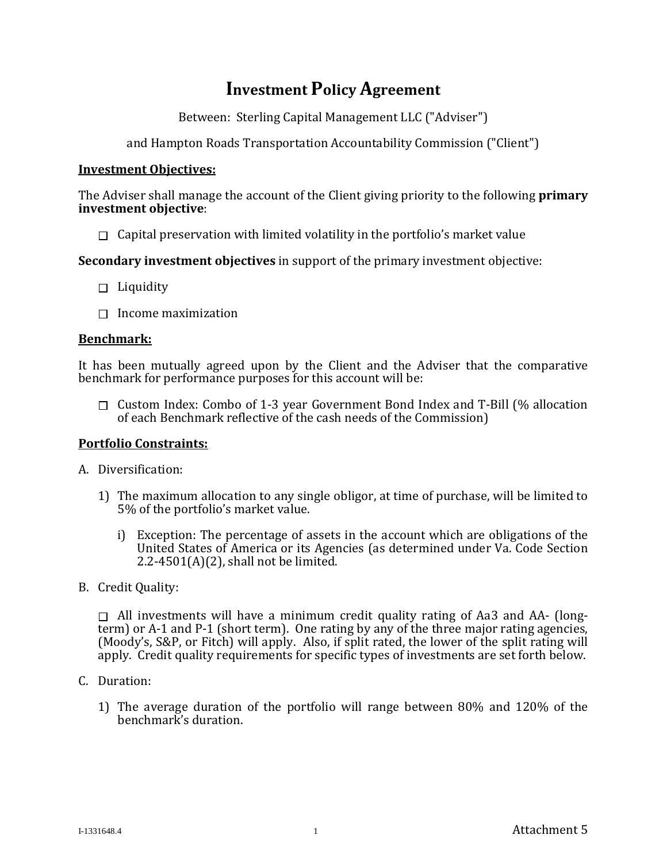# **Investment Policy Agreement**

Between: Sterling Capital Management LLC ("Adviser")

and Hampton Roads Transportation Accountability Commission ("Client")

# **Investment Objectives:**

The Adviser shall manage the account of the Client giving priority to the following **primary investment objective**:

 $\Box$  Capital preservation with limited volatility in the portfolio's market value

**Secondary investment objectives** in support of the primary investment objective:

- $\Box$  Liquidity
- Income maximization **Benchmark:**

It has been mutually agreed upon by the Client and the Adviser that the comparative benchmark for performance purposes for this account will be:

 $\Box$  Custom Index: Combo of 1-3 year Government Bond Index and T-Bill (% allocation of each Benchmark reflective of the cash needs of the Commission)

# **Portfolio Constraints:**

A. Diversification:

- 1) The maximum allocation to any single obligor, at time of purchase, will be limited to 5% of the portfolio's market value.
	- i) Exception: The percentage of assets in the account which are obligations of the United States of America or its Agencies (as determined under Va. Code Section 2.2-4501 $(A)(2)$ , shall not be limited.
- B. Credit Quality:

 $\Box$  All investments will have a minimum credit quality rating of Aa3 and AA- (longterm) or A-1 and P-1 (short term). One rating by any of the three major rating agencies, (Moody's, S&P, or Fitch) will apply. Also, if split rated, the lower of the split rating will apply. Credit quality requirements for specific types of investments are set forth below.

- C. Duration:
	- 1) The average duration of the portfolio will range between 80% and 120% of the benchmark's duration.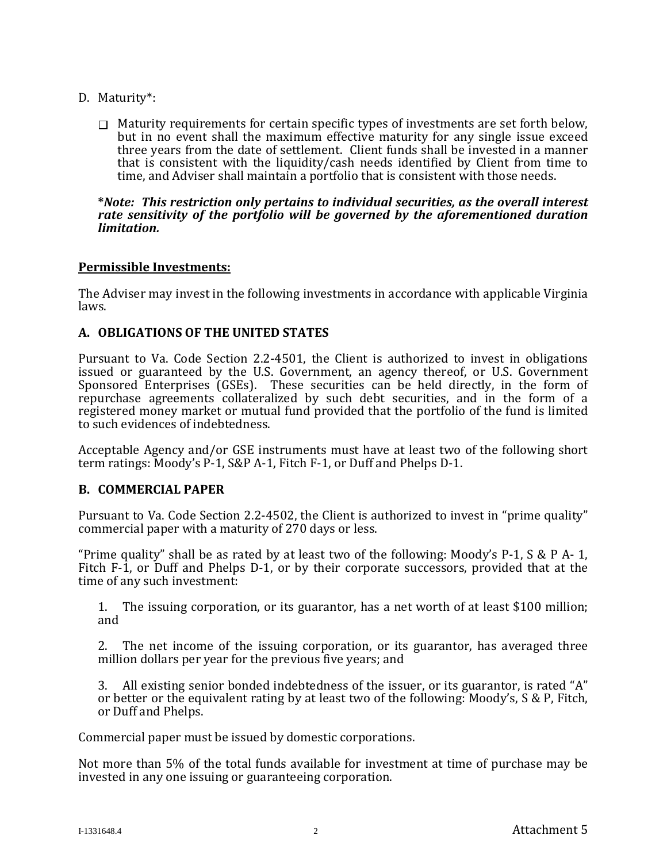- D. Maturity\*:
	- $\Box$  Maturity requirements for certain specific types of investments are set forth below, but in no event shall the maximum effective maturity for any single issue exceed three years from the date of settlement. Client funds shall be invested in a manner that is consistent with the liquidity/cash needs identified by Client from time to time, and Adviser shall maintain a portfolio that is consistent with those needs.

#### **\****Note: This restriction only pertains to individual securities, as the overall interest rate sensitivity of the portfolio will be governed by the aforementioned duration limitation.*

# **Permissible Investments:**

The Adviser may invest in the following investments in accordance with applicable Virginia laws.

# **A. OBLIGATIONS OF THE UNITED STATES**

Pursuant to Va. Code Section 2.2-4501, the Client is authorized to invest in obligations issued or guaranteed by the U.S. Government, an agency thereof, or U.S. Government Sponsored Enterprises (GSEs). These securities can be held directly, in the form of repurchase agreements collateralized by such debt securities, and in the form of a registered money market or mutual fund provided that the portfolio of the fund is limited to such evidences of indebtedness.

Acceptable Agency and/or GSE instruments must have at least two of the following short term ratings: Moody's P-1, S&P A-1, Fitch F-1, or Duff and Phelps D-1.

# **B. COMMERCIAL PAPER**

Pursuant to Va. Code Section 2.2-4502, the Client is authorized to invest in "prime quality" commercial paper with a maturity of 270 days or less.

"Prime quality" shall be as rated by at least two of the following: Moody's P-1,  $S \& P A-1$ , Fitch F-1, or Duff and Phelps D-1, or by their corporate successors, provided that at the time of any such investment:

1. The issuing corporation, or its guarantor, has a net worth of at least \$100 million; and

2. The net income of the issuing corporation, or its guarantor, has averaged three million dollars per year for the previous five years; and

3. All existing senior bonded indebtedness of the issuer, or its guarantor, is rated "A" or better or the equivalent rating by at least two of the following: Moody's, S & P, Fitch, or Duff and Phelps.

Commercial paper must be issued by domestic corporations.

Not more than 5% of the total funds available for investment at time of purchase may be invested in any one issuing or guaranteeing corporation.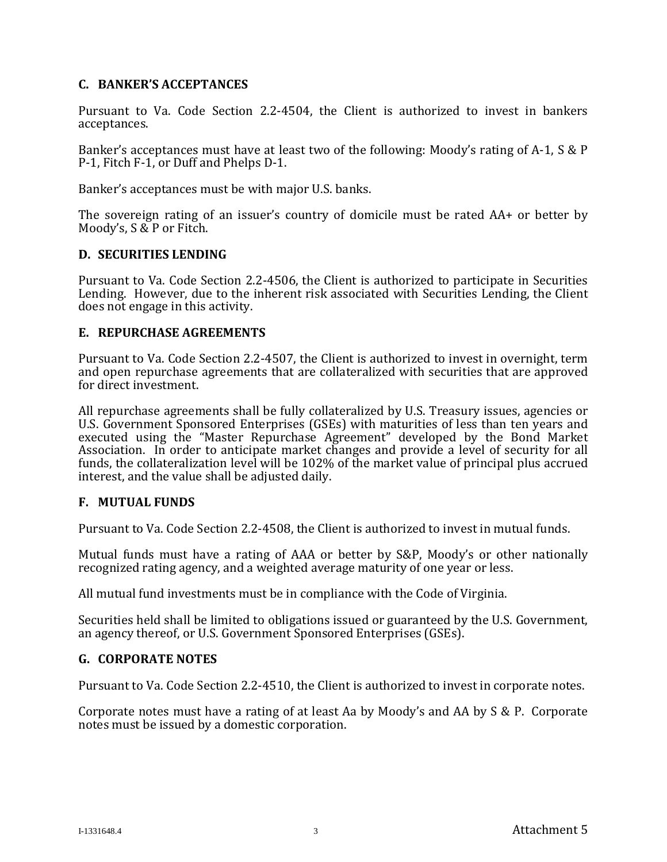# **C. BANKER'S ACCEPTANCES**

Pursuant to Va. Code Section 2.2-4504, the Client is authorized to invest in bankers acceptances.

Banker's acceptances must have at least two of the following: Moody's rating of A-1, S & P P-1, Fitch F-1, or Duff and Phelps D-1.

Banker's acceptances must be with major U.S. banks.

The sovereign rating of an issuer's country of domicile must be rated AA+ or better by Moody's, S & P or Fitch.

# **D. SECURITIES LENDING**

Pursuant to Va. Code Section 2.2-4506, the Client is authorized to participate in Securities Lending. However, due to the inherent risk associated with Securities Lending, the Client does not engage in this activity.

# **E. REPURCHASE AGREEMENTS**

Pursuant to Va. Code Section 2.2-4507, the Client is authorized to invest in overnight, term and open repurchase agreements that are collateralized with securities that are approved for direct investment.

All repurchase agreements shall be fully collateralized by U.S. Treasury issues, agencies or U.S. Government Sponsored Enterprises (GSEs) with maturities of less than ten years and executed using the "Master Repurchase Agreement" developed by the Bond Market Association. In order to anticipate market changes and provide a level of security for all funds, the collateralization level will be 102% of the market value of principal plus accrued interest, and the value shall be adjusted daily.

# **F. MUTUAL FUNDS**

Pursuant to Va. Code Section 2.2-4508, the Client is authorized to invest in mutual funds.

Mutual funds must have a rating of AAA or better by S&P, Moody's or other nationally recognized rating agency, and a weighted average maturity of one year or less.

All mutual fund investments must be in compliance with the Code of Virginia.

Securities held shall be limited to obligations issued or guaranteed by the U.S. Government, an agency thereof, or U.S. Government Sponsored Enterprises (GSEs).

# **G. CORPORATE NOTES**

Pursuant to Va. Code Section 2.2-4510, the Client is authorized to invest in corporate notes.

Corporate notes must have a rating of at least Aa by Moody's and AA by S & P. Corporate notes must be issued by a domestic corporation.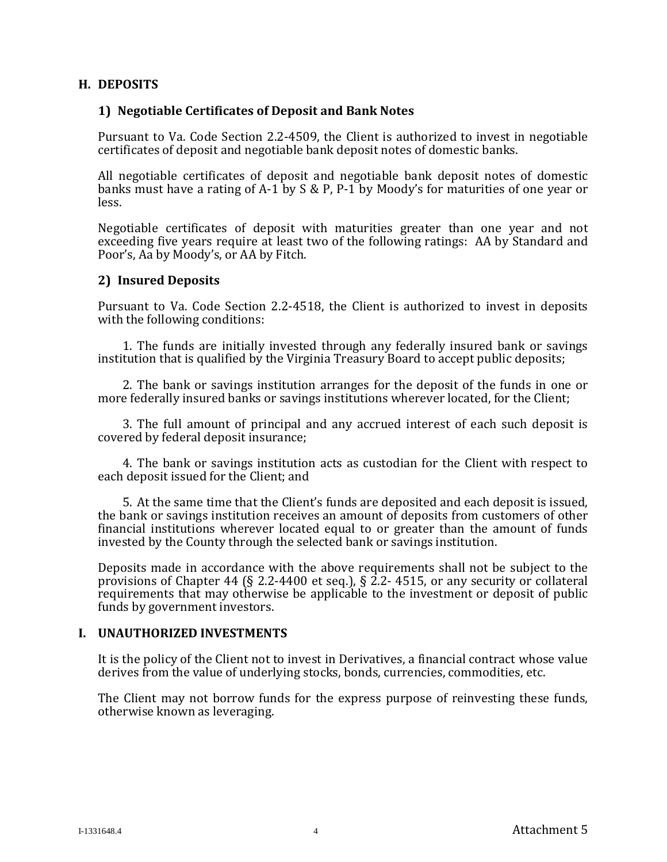# **H. DEPOSITS**

#### **1) Negotiable Certificates of Deposit and Bank Notes**

Pursuant to Va. Code Section 2.2-4509, the Client is authorized to invest in negotiable certificates of deposit and negotiable bank deposit notes of domestic banks.

All negotiable certificates of deposit and negotiable bank deposit notes of domestic banks must have a rating of A-1 by S & P, P-1 by Moody's for maturities of one year or less.

Negotiable certificates of deposit with maturities greater than one year and not exceeding five years require at least two of the following ratings: AA by Standard and Poor's, Aa by Moody's, or AA by Fitch.

# **2) Insured Deposits**

Pursuant to Va. Code Section 2.2-4518, the Client is authorized to invest in deposits with the following conditions:

1. The funds are initially invested through any federally insured bank or savings institution that is qualified by the Virginia Treasury Board to accept public deposits;

 2. The bank or savings institution arranges for the deposit of the funds in one or more federally insured banks or savings institutions wherever located, for the Client;

3. The full amount of principal and any accrued interest of each such deposit is covered by federal deposit insurance;

4. The bank or savings institution acts as custodian for the Client with respect to each deposit issued for the Client; and

5. At the same time that the Client's funds are deposited and each deposit is issued, the bank or savings institution receives an amount of deposits from customers of other financial institutions wherever located equal to or greater than the amount of funds invested by the County through the selected bank or savings institution.

Deposits made in accordance with the above requirements shall not be subject to the provisions of Chapter 44 (§ 2.2-4400 et seq.), § 2.2-4515, or any security or collateral requirements that may otherwise be applicable to the investment or deposit of public funds by government investors.

#### **I. UNAUTHORIZED INVESTMENTS**

It is the policy of the Client not to invest in Derivatives, a financial contract whose value derives from the value of underlying stocks, bonds, currencies, commodities, etc.

The Client may not borrow funds for the express purpose of reinvesting these funds, otherwise known as leveraging.